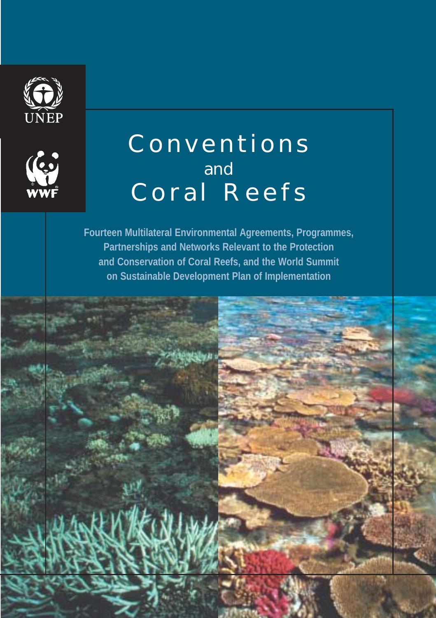



# Conventions and Coral Reefs

**Fourteen Multilateral Environmental Agreements, Programmes, Partnerships and Networks Relevant to the Protection and Conservation of Coral Reefs, and the World Summit on Sustainable Development Plan of Implementation**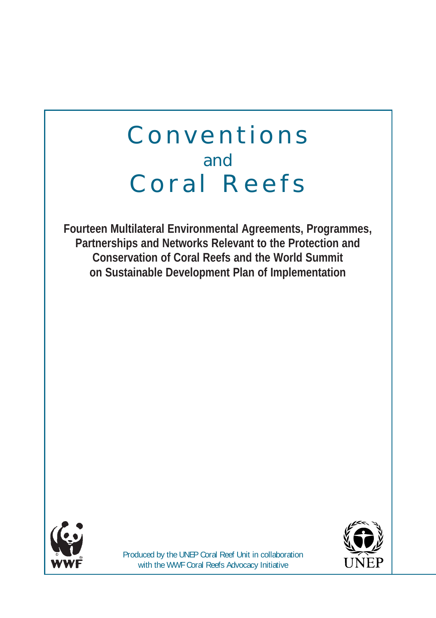## Conventions and Coral Reefs

**Fourteen Multilateral Environmental Agreements, Programmes, Partnerships and Networks Relevant to the Protection and Conservation of Coral Reefs and the World Summit on Sustainable Development Plan of Implementation**





Produced by the UNEP Coral Reef Unit in collaboration with the WWF Coral Reefs Advocacy Initiative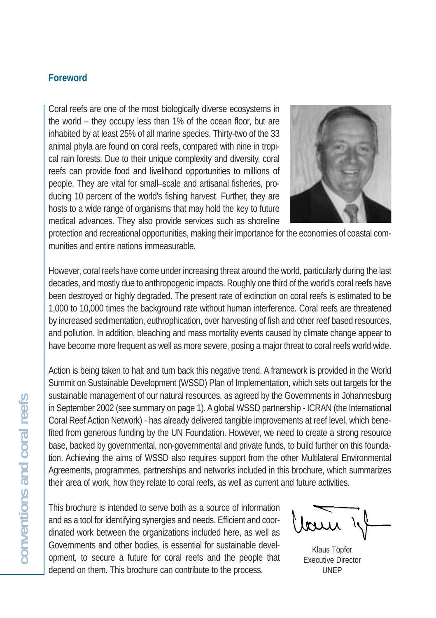## **Foreword**

Coral reefs are one of the most biologically diverse ecosystems in the world – they occupy less than 1% of the ocean floor, but are inhabited by at least 25% of all marine species. Thirty-two of the 33 animal phyla are found on coral reefs, compared with nine in tropical rain forests. Due to their unique complexity and diversity, coral reefs can provide food and livelihood opportunities to millions of people. They are vital for small–scale and artisanal fisheries, producing 10 percent of the world's fishing harvest. Further, they are hosts to a wide range of organisms that may hold the key to future medical advances. They also provide services such as shoreline



protection and recreational opportunities, making their importance for the economies of coastal communities and entire nations immeasurable.

However, coral reefs have come under increasing threat around the world, particularly during the last decades, and mostly due to anthropogenic impacts. Roughly one third of the world's coral reefs have been destroyed or highly degraded. The present rate of extinction on coral reefs is estimated to be 1,000 to 10,000 times the background rate without human interference. Coral reefs are threatened by increased sedimentation, euthrophication, over harvesting of fish and other reef based resources, and pollution. In addition, bleaching and mass mortality events caused by climate change appear to have become more frequent as well as more severe, posing a major threat to coral reefs world wide.

Action is being taken to halt and turn back this negative trend. A framework is provided in the World Summit on Sustainable Development (WSSD) Plan of Implementation, which sets out targets for the sustainable management of our natural resources, as agreed by the Governments in Johannesburg in September 2002 (see summary on page 1). A global WSSD partnership - ICRAN (the International Coral Reef Action Network) - has already delivered tangible improvements at reef level, which benefited from generous funding by the UN Foundation. However, we need to create a strong resource base, backed by governmental, non-governmental and private funds, to build further on this foundation. Achieving the aims of WSSD also requires support from the other Multilateral Environmental Agreements, programmes, partnerships and networks included in this brochure, which summarizes their area of work, how they relate to coral reefs, as well as current and future activities.

This brochure is intended to serve both as a source of information and as a tool for identifying synergies and needs. Efficient and coordinated work between the organizations included here, as well as Governments and other bodies, is essential for sustainable development, to secure a future for coral reefs and the people that depend on them. This brochure can contribute to the process.

Klaus Töpfer Executive Director UNEP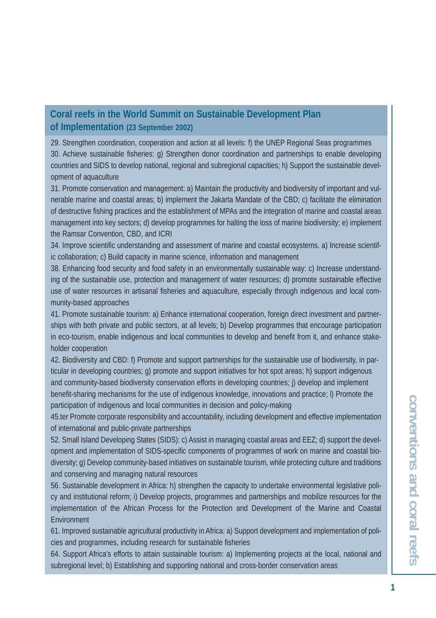#### **Coral reefs in the World Summit on Sustainable Development Plan of Implementation (23 September 2002)**

29. Strengthen coordination, cooperation and action at all levels: f) the UNEP Regional Seas programmes 30. Achieve sustainable fisheries: g) Strengthen donor coordination and partnerships to enable developing countries and SIDS to develop national, regional and subregional capacities; h) Support the sustainable development of aquaculture

31. Promote conservation and management: a) Maintain the productivity and biodiversity of important and vulnerable marine and coastal areas; b) implement the Jakarta Mandate of the CBD; c) facilitate the elimination of destructive fishing practices and the establishment of MPAs and the integration of marine and coastal areas management into key sectors; d) develop programmes for halting the loss of marine biodiversity; e) implement the Ramsar Convention, CBD, and ICRI

34. Improve scientific understanding and assessment of marine and coastal ecosystems. a) Increase scientific collaboration; c) Build capacity in marine science, information and management

38. Enhancing food security and food safety in an environmentally sustainable way: c) Increase understanding of the sustainable use, protection and management of water resources; d) promote sustainable effective use of water resources in artisanal fisheries and aquaculture, especially through indigenous and local community-based approaches

41. Promote sustainable tourism: a) Enhance international cooperation, foreign direct investment and partnerships with both private and public sectors, at all levels; b) Develop programmes that encourage participation in eco-tourism, enable indigenous and local communities to develop and benefit from it, and enhance stakeholder cooperation

42. Biodiversity and CBD: f) Promote and support partnerships for the sustainable use of biodiversity, in particular in developing countries; g) promote and support initiatives for hot spot areas; h) support indigenous and community-based biodiversity conservation efforts in developing countries; j) develop and implement benefit-sharing mechanisms for the use of indigenous knowledge, innovations and practice; l) Promote the participation of indigenous and local communities in decision and policy-making

45.ter Promote corporate responsibility and accountability, including development and effective implementation of international and public-private partnerships

52. Small Island Developing States (SIDS): c) Assist in managing coastal areas and EEZ; d) support the development and implementation of SIDS-specific components of programmes of work on marine and coastal biodiversity; g) Develop community-based initiatives on sustainable tourism, while protecting culture and traditions and conserving and managing natural resources

56. Sustainable development in Africa: h) strengthen the capacity to undertake environmental legislative policy and institutional reform; i) Develop projects, programmes and partnerships and mobilize resources for the implementation of the African Process for the Protection and Development of the Marine and Coastal Environment

61. Improved sustainable agricultural productivity in Africa: a) Support development and implementation of policies and programmes, including research for sustainable fisheries

64. Support Africa's efforts to attain sustainable tourism: a) Implementing projects at the local, national and subregional level; b) Establishing and supporting national and cross-border conservation areas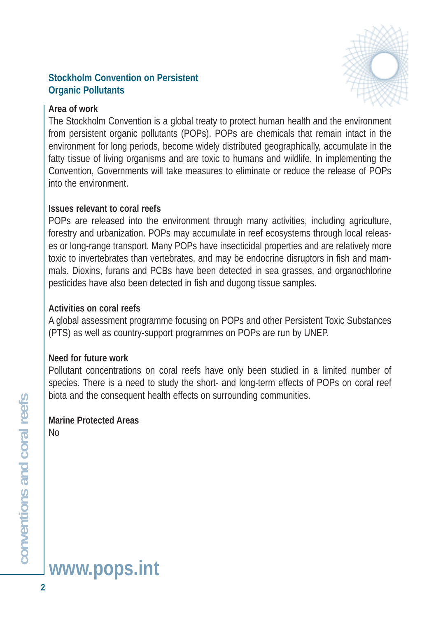#### **Stockholm Convention on Persistent Organic Pollutants**



#### **Area of work**

The Stockholm Convention is a global treaty to protect human health and the environment from persistent organic pollutants (POPs). POPs are chemicals that remain intact in the environment for long periods, become widely distributed geographically, accumulate in the fatty tissue of living organisms and are toxic to humans and wildlife. In implementing the Convention, Governments will take measures to eliminate or reduce the release of POPs into the environment.

#### **Issues relevant to coral reefs**

POPs are released into the environment through many activities, including agriculture, forestry and urbanization. POPs may accumulate in reef ecosystems through local releases or long-range transport. Many POPs have insecticidal properties and are relatively more toxic to invertebrates than vertebrates, and may be endocrine disruptors in fish and mammals. Dioxins, furans and PCBs have been detected in sea grasses, and organochlorine pesticides have also been detected in fish and dugong tissue samples.

#### **Activities on coral reefs**

A global assessment programme focusing on POPs and other Persistent Toxic Substances (PTS) as well as country-support programmes on POPs are run by UNEP.

#### **Need for future work**

Pollutant concentrations on coral reefs have only been studied in a limited number of species. There is a need to study the short- and long-term effects of POPs on coral reef biota and the consequent health effects on surrounding communities.

## **Marine Protected Areas**

No

# **www.pops.int**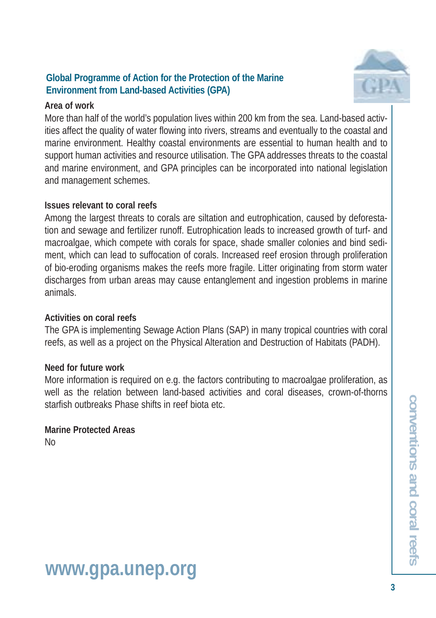#### **Global Programme of Action for the Protection of the Marine Environment from Land-based Activities (GPA)**



#### **Area of work**

More than half of the world's population lives within 200 km from the sea. Land-based activities affect the quality of water flowing into rivers, streams and eventually to the coastal and marine environment. Healthy coastal environments are essential to human health and to support human activities and resource utilisation. The GPA addresses threats to the coastal and marine environment, and GPA principles can be incorporated into national legislation and management schemes.

#### **Issues relevant to coral reefs**

Among the largest threats to corals are siltation and eutrophication, caused by deforestation and sewage and fertilizer runoff. Eutrophication leads to increased growth of turf- and macroalgae, which compete with corals for space, shade smaller colonies and bind sediment, which can lead to suffocation of corals. Increased reef erosion through proliferation of bio-eroding organisms makes the reefs more fragile. Litter originating from storm water discharges from urban areas may cause entanglement and ingestion problems in marine animals.

#### **Activities on coral reefs**

The GPA is implementing Sewage Action Plans (SAP) in many tropical countries with coral reefs, as well as a project on the Physical Alteration and Destruction of Habitats (PADH).

#### **Need for future work**

More information is required on e.g. the factors contributing to macroalgae proliferation, as well as the relation between land-based activities and coral diseases, crown-of-thorns starfish outbreaks Phase shifts in reef biota etc.

#### **Marine Protected Areas**  No

**conventions and coral reefs** conventions and coral reef

## **www.gpa.unep.org**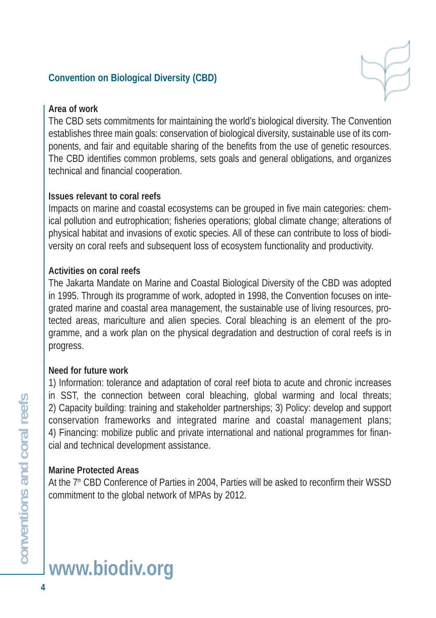## **Convention on Biological Diversity (CBD)**



#### **Area of work**

The CBD sets commitments for maintaining the world's biological diversity. The Convention establishes three main goals: conservation of biological diversity, sustainable use of its components, and fair and equitable sharing of the benefits from the use of genetic resources. The CBD identifies common problems, sets goals and general obligations, and organizes technical and financial cooperation.

#### **Issues relevant to coral reefs**

Impacts on marine and coastal ecosystems can be grouped in five main categories: chemical pollution and eutrophication; fisheries operations; global climate change; alterations of physical habitat and invasions of exotic species. All of these can contribute to loss of biodiversity on coral reefs and subsequent loss of ecosystem functionality and productivity.

#### **Activities on coral reefs**

The Jakarta Mandate on Marine and Coastal Biological Diversity of the CBD was adopted in 1995. Through its programme of work, adopted in 1998, the Convention focuses on integrated marine and coastal area management, the sustainable use of living resources, protected areas, mariculture and alien species. Coral bleaching is an element of the programme, and a work plan on the physical degradation and destruction of coral reefs is in progress.

#### **Need for future work**

1) Information: tolerance and adaptation of coral reef biota to acute and chronic increases in SST, the connection between coral bleaching, global warming and local threats; 2) Capacity building: training and stakeholder partnerships; 3) Policy: develop and support conservation frameworks and integrated marine and coastal management plans; 4) Financing: mobilize public and private international and national programmes for financial and technical development assistance.

#### **Marine Protected Areas**

At the 7<sup>th</sup> CBD Conference of Parties in 2004, Parties will be asked to reconfirm their WSSD commitment to the global network of MPAs by 2012.

# **www.biodiv.org**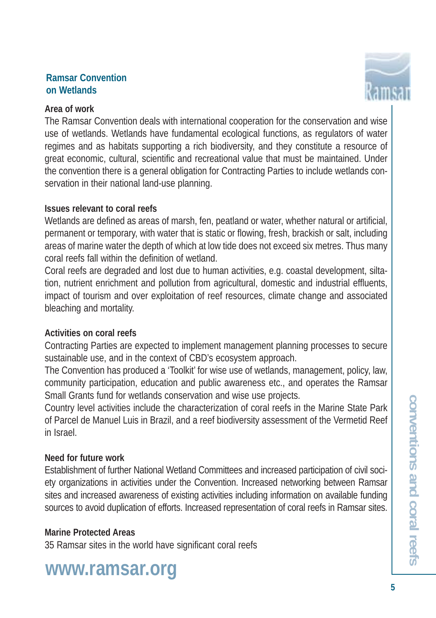#### **Ramsar Convention on Wetlands**

#### **Area of work**

The Ramsar Convention deals with international cooperation for the conservation and wise use of wetlands. Wetlands have fundamental ecological functions, as regulators of water regimes and as habitats supporting a rich biodiversity, and they constitute a resource of great economic, cultural, scientific and recreational value that must be maintained. Under the convention there is a general obligation for Contracting Parties to include wetlands conservation in their national land-use planning.

#### **Issues relevant to coral reefs**

Wetlands are defined as areas of marsh, fen, peatland or water, whether natural or artificial, permanent or temporary, with water that is static or flowing, fresh, brackish or salt, including areas of marine water the depth of which at low tide does not exceed six metres. Thus many coral reefs fall within the definition of wetland.

Coral reefs are degraded and lost due to human activities, e.g. coastal development, siltation, nutrient enrichment and pollution from agricultural, domestic and industrial effluents, impact of tourism and over exploitation of reef resources, climate change and associated bleaching and mortality.

## **Activities on coral reefs**

Contracting Parties are expected to implement management planning processes to secure sustainable use, and in the context of CBD's ecosystem approach.

The Convention has produced a 'Toolkit' for wise use of wetlands, management, policy, law, community participation, education and public awareness etc., and operates the Ramsar Small Grants fund for wetlands conservation and wise use projects.

Country level activities include the characterization of coral reefs in the Marine State Park of Parcel de Manuel Luis in Brazil, and a reef biodiversity assessment of the Vermetid Reef in Israel.

## **Need for future work**

Establishment of further National Wetland Committees and increased participation of civil society organizations in activities under the Convention. Increased networking between Ramsar sites and increased awareness of existing activities including information on available funding sources to avoid duplication of efforts. Increased representation of coral reefs in Ramsar sites.

#### **Marine Protected Areas**

35 Ramsar sites in the world have significant coral reefs

## **www.ramsar.org**

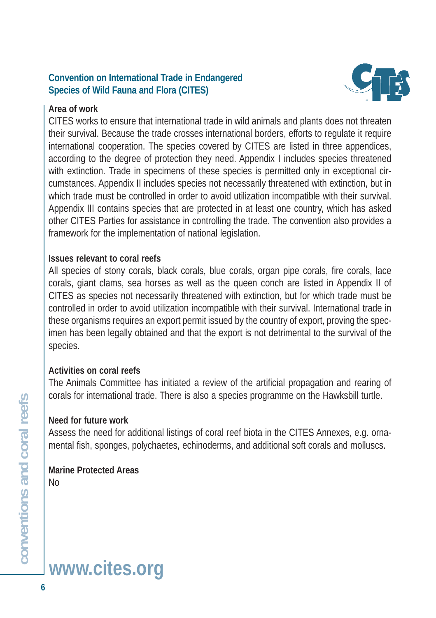## **Convention on International Trade in Endangered Species of Wild Fauna and Flora (CITES)**

#### **Area of work**



CITES works to ensure that international trade in wild animals and plants does not threaten their survival. Because the trade crosses international borders, efforts to regulate it require international cooperation. The species covered by CITES are listed in three appendices, according to the degree of protection they need. Appendix I includes species threatened with extinction. Trade in specimens of these species is permitted only in exceptional circumstances. Appendix II includes species not necessarily threatened with extinction, but in which trade must be controlled in order to avoid utilization incompatible with their survival. Appendix III contains species that are protected in at least one country, which has asked other CITES Parties for assistance in controlling the trade. The convention also provides a framework for the implementation of national legislation.

#### **Issues relevant to coral reefs**

All species of stony corals, black corals, blue corals, organ pipe corals, fire corals, lace corals, giant clams, sea horses as well as the queen conch are listed in Appendix II of CITES as species not necessarily threatened with extinction, but for which trade must be controlled in order to avoid utilization incompatible with their survival. International trade in these organisms requires an export permit issued by the country of export, proving the specimen has been legally obtained and that the export is not detrimental to the survival of the species.

#### **Activities on coral reefs**

The Animals Committee has initiated a review of the artificial propagation and rearing of corals for international trade. There is also a species programme on the Hawksbill turtle.

#### **Need for future work**

Assess the need for additional listings of coral reef biota in the CITES Annexes, e.g. ornamental fish, sponges, polychaetes, echinoderms, and additional soft corals and molluscs.

#### **Marine Protected Areas**  No

**conventions and coral reefs**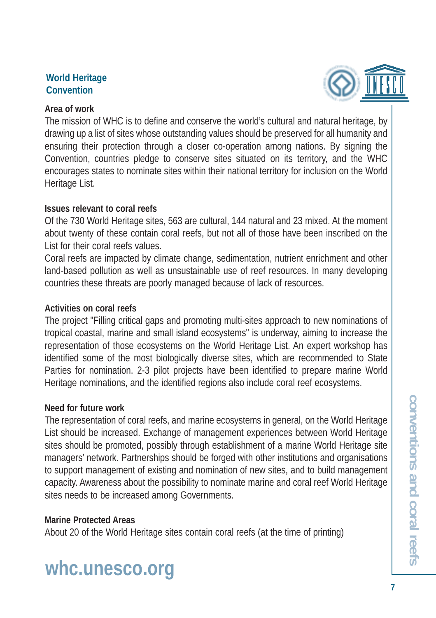#### **World Heritage Convention**

#### **Area of work**



#### **Issues relevant to coral reefs**

Of the 730 World Heritage sites, 563 are cultural, 144 natural and 23 mixed. At the moment about twenty of these contain coral reefs, but not all of those have been inscribed on the List for their coral reefs values.

Coral reefs are impacted by climate change, sedimentation, nutrient enrichment and other land-based pollution as well as unsustainable use of reef resources. In many developing countries these threats are poorly managed because of lack of resources.

## **Activities on coral reefs**

The project "Filling critical gaps and promoting multi-sites approach to new nominations of tropical coastal, marine and small island ecosystems" is underway, aiming to increase the representation of those ecosystems on the World Heritage List. An expert workshop has identified some of the most biologically diverse sites, which are recommended to State Parties for nomination. 2-3 pilot projects have been identified to prepare marine World Heritage nominations, and the identified regions also include coral reef ecosystems.

## **Need for future work**

The representation of coral reefs, and marine ecosystems in general, on the World Heritage List should be increased. Exchange of management experiences between World Heritage sites should be promoted, possibly through establishment of a marine World Heritage site managers' network. Partnerships should be forged with other institutions and organisations to support management of existing and nomination of new sites, and to build management capacity. Awareness about the possibility to nominate marine and coral reef World Heritage sites needs to be increased among Governments.

## **Marine Protected Areas**

About 20 of the World Heritage sites contain coral reefs (at the time of printing)

## **whc.unesco.org**

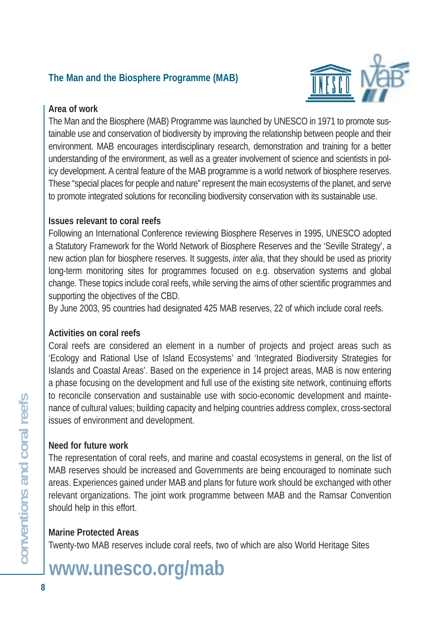## **The Man and the Biosphere Programme (MAB)**



#### **Area of work**

The Man and the Biosphere (MAB) Programme was launched by UNESCO in 1971 to promote sustainable use and conservation of biodiversity by improving the relationship between people and their environment. MAB encourages interdisciplinary research, demonstration and training for a better understanding of the environment, as well as a greater involvement of science and scientists in policy development. A central feature of the MAB programme is a world network of biosphere reserves. These "special places for people and nature" represent the main ecosystems of the planet, and serve to promote integrated solutions for reconciling biodiversity conservation with its sustainable use.

#### **Issues relevant to coral reefs**

Following an International Conference reviewing Biosphere Reserves in 1995, UNESCO adopted a Statutory Framework for the World Network of Biosphere Reserves and the 'Seville Strategy', a new action plan for biosphere reserves. It suggests, *inter alia*, that they should be used as priority long-term monitoring sites for programmes focused on e.g. observation systems and global change. These topics include coral reefs, while serving the aims of other scientific programmes and supporting the objectives of the CBD.

By June 2003, 95 countries had designated 425 MAB reserves, 22 of which include coral reefs.

#### **Activities on coral reefs**

Coral reefs are considered an element in a number of projects and project areas such as 'Ecology and Rational Use of Island Ecosystems' and 'Integrated Biodiversity Strategies for Islands and Coastal Areas'. Based on the experience in 14 project areas, MAB is now entering a phase focusing on the development and full use of the existing site network, continuing efforts to reconcile conservation and sustainable use with socio-economic development and maintenance of cultural values; building capacity and helping countries address complex, cross-sectoral issues of environment and development.

#### **Need for future work**

The representation of coral reefs, and marine and coastal ecosystems in general, on the list of MAB reserves should be increased and Governments are being encouraged to nominate such areas. Experiences gained under MAB and plans for future work should be exchanged with other relevant organizations. The joint work programme between MAB and the Ramsar Convention should help in this effort.

## **Marine Protected Areas**

Twenty-two MAB reserves include coral reefs, two of which are also World Heritage Sites

## **www.unesco.org/mab**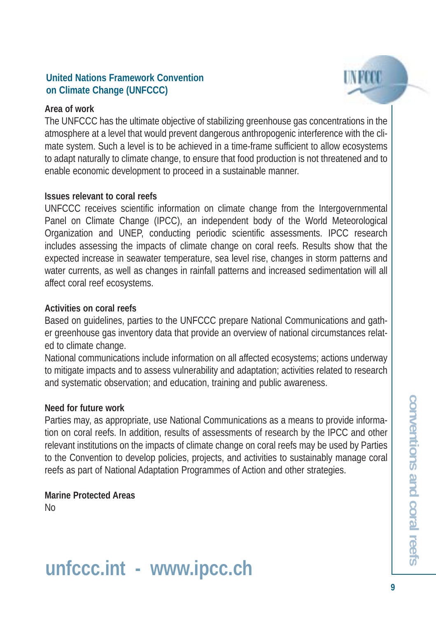#### **United Nations Framework Convention on Climate Change (UNFCCC)**

#### **Area of work**

The UNFCCC has the ultimate objective of stabilizing greenhouse gas concentrations in the atmosphere at a level that would prevent dangerous anthropogenic interference with the climate system. Such a level is to be achieved in a time-frame sufficient to allow ecosystems to adapt naturally to climate change, to ensure that food production is not threatened and to enable economic development to proceed in a sustainable manner.

#### **Issues relevant to coral reefs**

UNFCCC receives scientific information on climate change from the Intergovernmental Panel on Climate Change (IPCC), an independent body of the World Meteorological Organization and UNEP, conducting periodic scientific assessments. IPCC research includes assessing the impacts of climate change on coral reefs. Results show that the expected increase in seawater temperature, sea level rise, changes in storm patterns and water currents, as well as changes in rainfall patterns and increased sedimentation will all affect coral reef ecosystems.

#### **Activities on coral reefs**

Based on guidelines, parties to the UNFCCC prepare National Communications and gather greenhouse gas inventory data that provide an overview of national circumstances related to climate change.

National communications include information on all affected ecosystems; actions underway to mitigate impacts and to assess vulnerability and adaptation; activities related to research and systematic observation; and education, training and public awareness.

#### **Need for future work**

Parties may, as appropriate, use National Communications as a means to provide information on coral reefs. In addition, results of assessments of research by the IPCC and other relevant institutions on the impacts of climate change on coral reefs may be used by Parties to the Convention to develop policies, projects, and activities to sustainably manage coral reefs as part of National Adaptation Programmes of Action and other strategies.

**Marine Protected Areas**  No

## **unfccc.int - www.ipcc.ch**

I N RETO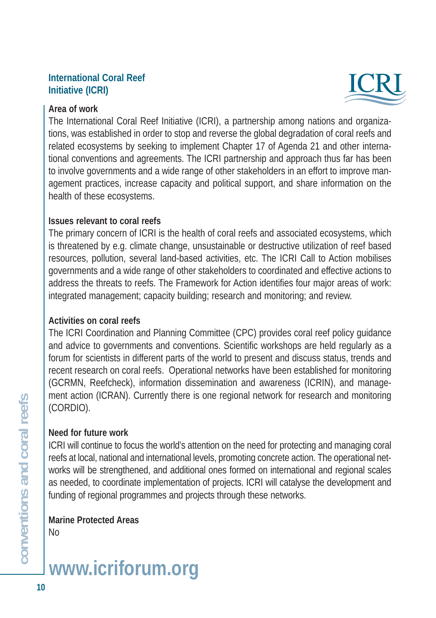#### **International Coral Reef Initiative (ICRI)**



#### **Area of work**

The International Coral Reef Initiative (ICRI), a partnership among nations and organizations, was established in order to stop and reverse the global degradation of coral reefs and related ecosystems by seeking to implement Chapter 17 of Agenda 21 and other international conventions and agreements. The ICRI partnership and approach thus far has been to involve governments and a wide range of other stakeholders in an effort to improve management practices, increase capacity and political support, and share information on the health of these ecosystems.

#### **Issues relevant to coral reefs**

The primary concern of ICRI is the health of coral reefs and associated ecosystems, which is threatened by e.g. climate change, unsustainable or destructive utilization of reef based resources, pollution, several land-based activities, etc. The ICRI Call to Action mobilises governments and a wide range of other stakeholders to coordinated and effective actions to address the threats to reefs. The Framework for Action identifies four major areas of work: integrated management; capacity building; research and monitoring; and review.

#### **Activities on coral reefs**

The ICRI Coordination and Planning Committee (CPC) provides coral reef policy guidance and advice to governments and conventions. Scientific workshops are held regularly as a forum for scientists in different parts of the world to present and discuss status, trends and recent research on coral reefs. Operational networks have been established for monitoring (GCRMN, Reefcheck), information dissemination and awareness (ICRIN), and management action (ICRAN). Currently there is one regional network for research and monitoring (CORDIO).

#### **Need for future work**

ICRI will continue to focus the world's attention on the need for protecting and managing coral reefs at local, national and international levels, promoting concrete action. The operational networks will be strengthened, and additional ones formed on international and regional scales as needed, to coordinate implementation of projects. ICRI will catalyse the development and funding of regional programmes and projects through these networks.

**Marine Protected Areas**  No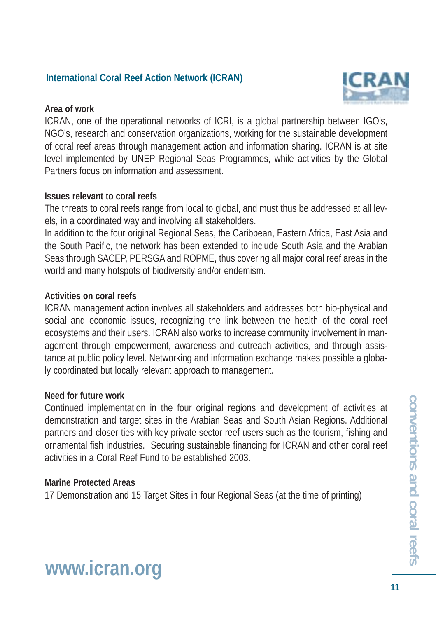#### **International Coral Reef Action Network (ICRAN)**

#### **Area of work**

ICRAN, one of the operational networks of ICRI, is a global partnership between IGO's, NGO's, research and conservation organizations, working for the sustainable development of coral reef areas through management action and information sharing. ICRAN is at site level implemented by UNEP Regional Seas Programmes, while activities by the Global Partners focus on information and assessment.

#### **Issues relevant to coral reefs**

The threats to coral reefs range from local to global, and must thus be addressed at all levels, in a coordinated way and involving all stakeholders.

In addition to the four original Regional Seas, the Caribbean, Eastern Africa, East Asia and the South Pacific, the network has been extended to include South Asia and the Arabian Seas through SACEP, PERSGA and ROPME, thus covering all major coral reef areas in the world and many hotspots of biodiversity and/or endemism.

#### **Activities on coral reefs**

ICRAN management action involves all stakeholders and addresses both bio-physical and social and economic issues, recognizing the link between the health of the coral reef ecosystems and their users. ICRAN also works to increase community involvement in management through empowerment, awareness and outreach activities, and through assistance at public policy level. Networking and information exchange makes possible a globaly coordinated but locally relevant approach to management.

#### **Need for future work**

Continued implementation in the four original regions and development of activities at demonstration and target sites in the Arabian Seas and South Asian Regions. Additional partners and closer ties with key private sector reef users such as the tourism, fishing and ornamental fish industries. Securing sustainable financing for ICRAN and other coral reef activities in a Coral Reef Fund to be established 2003.

#### **Marine Protected Areas**

17 Demonstration and 15 Target Sites in four Regional Seas (at the time of printing)



## **www.icran.org**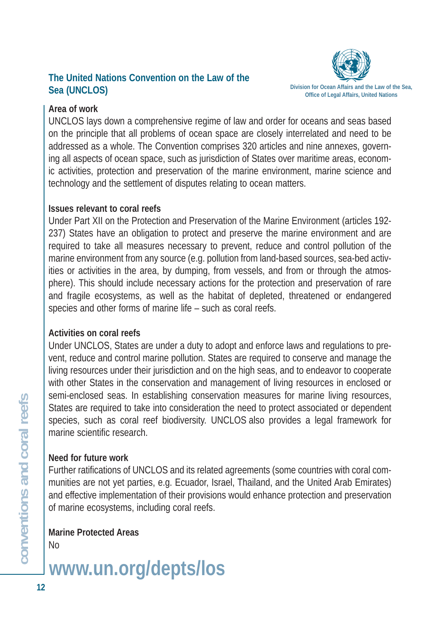## **The United Nations Convention on the Law of the Sea (UNCLOS) Division for Ocean Affairs and the Law of the Sea,**<br>Office of Legal Affairs, United Nations



#### **Area of work**

UNCLOS lays down a comprehensive regime of law and order for oceans and seas based on the principle that all problems of ocean space are closely interrelated and need to be addressed as a whole. The Convention comprises 320 articles and nine annexes, governing all aspects of ocean space, such as jurisdiction of States over maritime areas, economic activities, protection and preservation of the marine environment, marine science and technology and the settlement of disputes relating to ocean matters.

#### **Issues relevant to coral reefs**

Under Part XII on the Protection and Preservation of the Marine Environment (articles 192- 237) States have an obligation to protect and preserve the marine environment and are required to take all measures necessary to prevent, reduce and control pollution of the marine environment from any source (e.g. pollution from land-based sources, sea-bed activities or activities in the area, by dumping, from vessels, and from or through the atmosphere). This should include necessary actions for the protection and preservation of rare and fragile ecosystems, as well as the habitat of depleted, threatened or endangered species and other forms of marine life – such as coral reefs.

## **Activities on coral reefs**

Under UNCLOS, States are under a duty to adopt and enforce laws and regulations to prevent, reduce and control marine pollution. States are required to conserve and manage the living resources under their jurisdiction and on the high seas, and to endeavor to cooperate with other States in the conservation and management of living resources in enclosed or semi-enclosed seas. In establishing conservation measures for marine living resources, States are required to take into consideration the need to protect associated or dependent species, such as coral reef biodiversity. UNCLOS also provides a legal framework for marine scientific research.

## **Need for future work**

Further ratifications of UNCLOS and its related agreements (some countries with coral communities are not yet parties, e.g. Ecuador, Israel, Thailand, and the United Arab Emirates) and effective implementation of their provisions would enhance protection and preservation of marine ecosystems, including coral reefs.

**Marine Protected Areas**  No

**www.un.org/depts/los**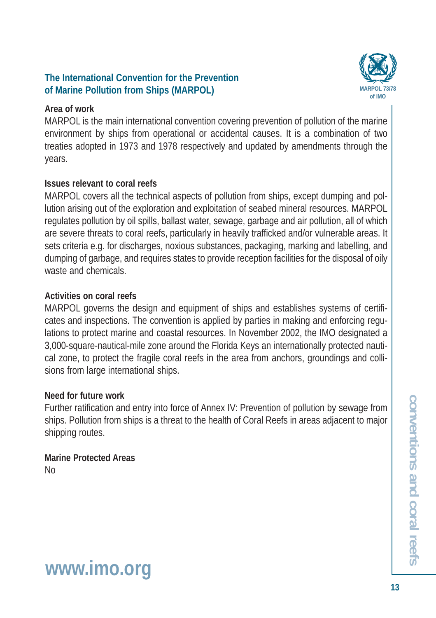#### **The International Convention for the Prevention**  of Marine Pollution from Ships (MARPOL)

#### **Area of work**

MARPOL is the main international convention covering prevention of pollution of the marine environment by ships from operational or accidental causes. It is a combination of two treaties adopted in 1973 and 1978 respectively and updated by amendments through the years.

## **Issues relevant to coral reefs**

MARPOL covers all the technical aspects of pollution from ships, except dumping and pollution arising out of the exploration and exploitation of seabed mineral resources. MARPOL regulates pollution by oil spills, ballast water, sewage, garbage and air pollution, all of which are severe threats to coral reefs, particularly in heavily trafficked and/or vulnerable areas. It sets criteria e.g. for discharges, noxious substances, packaging, marking and labelling, and dumping of garbage, and requires states to provide reception facilities for the disposal of oily waste and chemicals.

#### **Activities on coral reefs**

MARPOL governs the design and equipment of ships and establishes systems of certificates and inspections. The convention is applied by parties in making and enforcing regulations to protect marine and coastal resources. In November 2002, the IMO designated a 3,000-square-nautical-mile zone around the Florida Keys an internationally protected nautical zone, to protect the fragile coral reefs in the area from anchors, groundings and collisions from large international ships.

#### **Need for future work**

Further ratification and entry into force of Annex IV: Prevention of pollution by sewage from ships. Pollution from ships is a threat to the health of Coral Reefs in areas adjacent to major shipping routes.

**Marine Protected Areas**  No

## **www.imo.org**

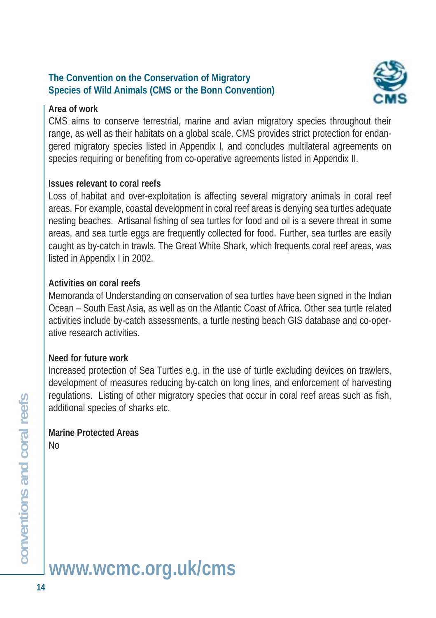#### **The Convention on the Conservation of Migratory Species of Wild Animals (CMS or the Bonn Convention)**

#### **Area of work**



CMS aims to conserve terrestrial, marine and avian migratory species throughout their range, as well as their habitats on a global scale. CMS provides strict protection for endangered migratory species listed in Appendix I, and concludes multilateral agreements on species requiring or benefiting from co-operative agreements listed in Appendix II.

#### **Issues relevant to coral reefs**

Loss of habitat and over-exploitation is affecting several migratory animals in coral reef areas. For example, coastal development in coral reef areas is denying sea turtles adequate nesting beaches. Artisanal fishing of sea turtles for food and oil is a severe threat in some areas, and sea turtle eggs are frequently collected for food. Further, sea turtles are easily caught as by-catch in trawls. The Great White Shark, which frequents coral reef areas, was listed in Appendix I in 2002.

#### **Activities on coral reefs**

Memoranda of Understanding on conservation of sea turtles have been signed in the Indian Ocean – South East Asia, as well as on the Atlantic Coast of Africa. Other sea turtle related activities include by-catch assessments, a turtle nesting beach GIS database and co-operative research activities.

#### **Need for future work**

Increased protection of Sea Turtles e.g. in the use of turtle excluding devices on trawlers, development of measures reducing by-catch on long lines, and enforcement of harvesting regulations. Listing of other migratory species that occur in coral reef areas such as fish, additional species of sharks etc.

#### **Marine Protected Areas**  No

**www.wcmc.org.uk/cms**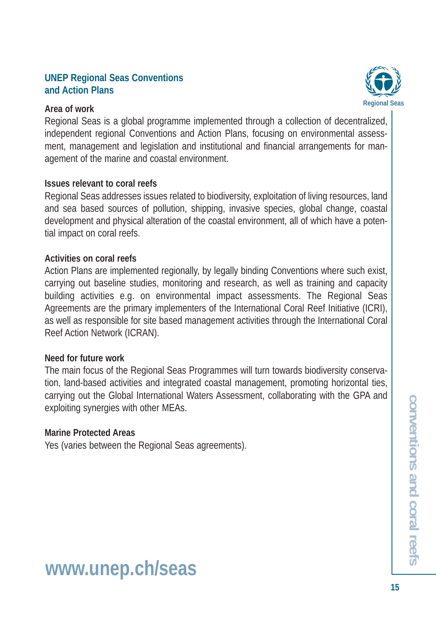#### **UNEP Regional Seas Conventions and Action Plans**

#### **Area of work**

**Regional Seas**

Regional Seas is a global programme implemented through a collection of decentralized, independent regional Conventions and Action Plans, focusing on environmental assessment, management and legislation and institutional and financial arrangements for management of the marine and coastal environment.

#### **Issues relevant to coral reefs**

Regional Seas addresses issues related to biodiversity, exploitation of living resources, land and sea based sources of pollution, shipping, invasive species, global change, coastal development and physical alteration of the coastal environment, all of which have a potential impact on coral reefs.

#### **Activities on coral reefs**

Action Plans are implemented regionally, by legally binding Conventions where such exist, carrying out baseline studies, monitoring and research, as well as training and capacity building activities e.g. on environmental impact assessments. The Regional Seas Agreements are the primary implementers of the International Coral Reef Initiative (ICRI), as well as responsible for site based management activities through the International Coral Reef Action Network (ICRAN).

#### **Need for future work**

The main focus of the Regional Seas Programmes will turn towards biodiversity conservation, land-based activities and integrated coastal management, promoting horizontal ties, carrying out the Global International Waters Assessment, collaborating with the GPA and exploiting synergies with other MEAs.

#### **Marine Protected Areas**

Yes (varies between the Regional Seas agreements).

## **www.unep.ch/seas**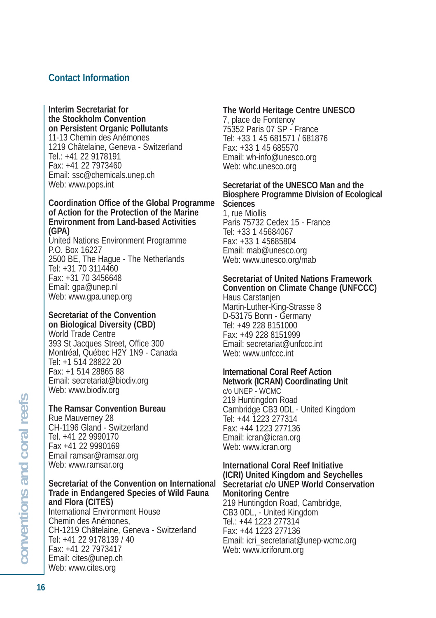#### **Contact Information**

**Interim Secretariat for the Stockholm Convention on Persistent Organic Pollutants** 11-13 Chemin des Anémones 1219 Châtelaine, Geneva - Switzerland Tel.: +41 22 9178191 Fax: +41 22 7973460 Email: ssc@chemicals.unep.ch Web: www.pops.int

#### **Coordination Office of the Global Programme of Action for the Protection of the Marine Environment from Land-based Activities (GPA)**

United Nations Environment Programme P.O. Box 16227 2500 BE, The Hague - The Netherlands Tel: +31 70 3114460 Fax: +31 70 3456648 Email: gpa@unep.nl Web: www.gpa.unep.org

#### **Secretariat of the Convention on Biological Diversity (CBD)**

World Trade Centre 393 St Jacques Street, Office 300 Montréal, Québec H2Y 1N9 - Canada Tel: +1 514 28822 20 Fax: +1 514 28865 88 Email: secretariat@biodiv.org Web: www.biodiv.org

#### **The Ramsar Convention Bureau**

Rue Mauverney 28 CH-1196 Gland - Switzerland Tel. +41 22 9990170 Fax +41 22 9990169 Email ramsar@ramsar.org Web: www.ramsar.org

**Secretariat of the Convention on International Trade in Endangered Species of Wild Fauna and Flora (CITES)** International Environment House Chemin des Anémones, CH-1219 Châtelaine, Geneva - Switzerland Tel: +41 22 9178139 / 40 Fax: +41 22 7973417 Email: cites@unep.ch Web: www.cites.org

#### **The World Heritage Centre UNESCO**

7, place de Fontenoy 75352 Paris 07 SP - France Tel: +33 1 45 681571 / 681876 Fax: +33 1 45 685570 Email: wh-info@unesco.org Web: whc.unesco.org

#### **Secretariat of the UNESCO Man and the Biosphere Programme Division of Ecological Sciences**

1, rue Miollis Paris 75732 Cedex 15 - France Tel: +33 1 45684067 Fax: +33 1 45685804 Email: mab@unesco.org Web: www.unesco.org/mab

## **Secretariat of United Nations Framework**

**Convention on Climate Change (UNFCCC)** Haus Carstanjen Martin-Luther-King-Strasse 8 D-53175 Bonn - Germany Tel: +49 228 8151000 Fax: +49 228 8151999 Email: secretariat@unfccc.int Web: www.unfccc.int

## **International Coral Reef Action**

**Network (ICRAN) Coordinating Unit**  c/o UNEP - WCMC 219 Huntingdon Road Cambridge CB3 0DL - United Kingdom Tel: +44 1223 277314 Fax: +44 1223 277136 Email: icran@icran.org Web: www.icran.org

#### **International Coral Reef Initiative (ICRI) United Kingdom and Seychelles Secretariat c/o UNEP World Conservation Monitoring Centre**

219 Huntingdon Road, Cambridge, CB3 0DL, - United Kingdom Tel.: +44 1223 277314 Fax: +44 1223 277136 Email: icri\_secretariat@unep-wcmc.org Web: www.icriforum.org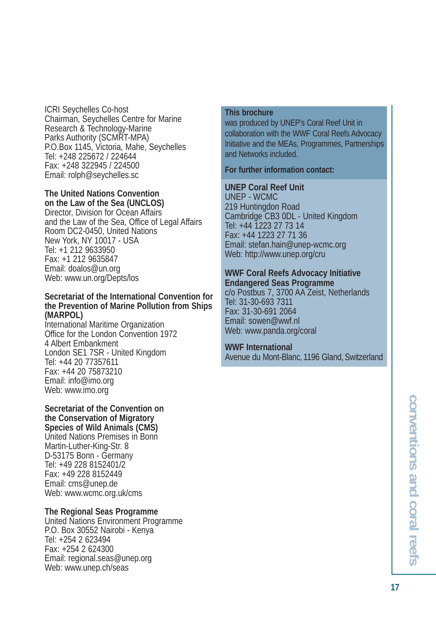ICRI Seychelles Co-host Chairman, Seychelles Centre for Marine Research & Technology-Marine Parks Authority (SCMRT-MPA) P.O.Box 1145, Victoria, Mahe, Seychelles Tel: +248 225672 / 224644 Fax: +248 322945 / 224500 Email: rolph@seychelles.sc

#### **The United Nations Convention**

**on the Law of the Sea (UNCLOS)** Director, Division for Ocean Affairs and the Law of the Sea, Office of Legal Affairs Room DC2-0450, United Nations New York, NY 10017 - USA Tel: +1 212 9633950 Fax: +1 212 9635847 Email: doalos@un.org Web: www.un.org/Depts/los

#### **Secretariat of the International Convention for the Prevention of Marine Pollution from Ships (MARPOL)**

International Maritime Organization Office for the London Convention 1972 4 Albert Embankment London SE1 7SR - United Kingdom Tel: +44 20 77357611 Fax: +44 20 75873210 Email: info@imo.org Web: www.imo.org

**Secretariat of the Convention on the Conservation of Migratory Species of Wild Animals (CMS)** United Nations Premises in Bonn Martin-Luther-King-Str. 8 D-53175 Bonn - Germany Tel: +49 228 8152401/2 Fax: +49 228 8152449 Email: cms@unep.de Web: www.wcmc.org.uk/cms

#### **The Regional Seas Programme**

United Nations Environment Programme P.O. Box 30552 Nairobi - Kenya Tel: +254 2 623494 Fax: +254 2 624300 Email: regional.seas@unep.org Web: www.unep.ch/seas

#### **This brochure**

was produced by UNEP's Coral Reef Unit in collaboration with the WWF Coral Reefs Advocacy Initiative and the MEAs, Programmes, Partnerships and Networks included.

#### **For further information contact:**

#### **UNEP Coral Reef Unit**

UNEP - WCMC 219 Huntingdon Road Cambridge CB3 0DL - United Kingdom Tel: +44 1223 27 73 14 Fax: +44 1223 27 71 36 Email: stefan.hain@unep-wcmc.org Web: http://www.unep.org/cru

#### **WWF Coral Reefs Advocacy Initiative Endangered Seas Programme**

c/o Postbus 7, 3700 AA Zeist, Netherlands Tel: 31-30-693 7311 Fax: 31-30-691 2064 Email: sowen@wwf.nl Web: www.panda.org/coral

#### **WWF International**

Avenue du Mont-Blanc, 1196 Gland, Switzerland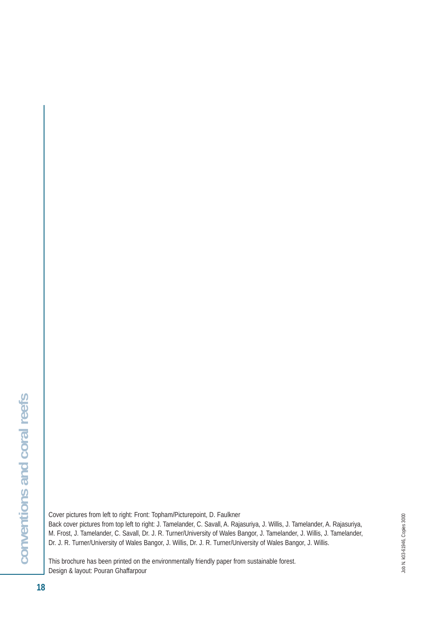Cover pictures from left to right: Front: Topham/Picturepoint, D. Faulkner Back cover pictures from top left to right: J. Tamelander, C. Savall, A. Rajasuriya, J. Willis, J. Tamelander, A. Rajasuriya, M. Frost, J. Tamelander, C. Savall, Dr. J. R. Turner/University of Wales Bangor, J. Tamelander, J. Willis, J. Tamelander, Dr. J. R. Turner/University of Wales Bangor, J. Willis, Dr. J. R. Turner/University of Wales Bangor, J. Willis.

This brochure has been printed on the environmentally friendly paper from sustainable forest. Design & layout: Pouran Ghaffarpour